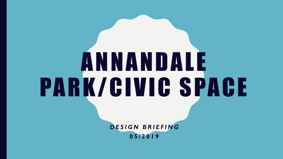# A N N A N D A L E PARK/CIVIC SPACE

*D E S I G N B R I E F I N G* **0 5 / 2 0 1 9**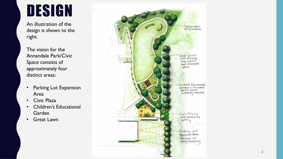#### DESIGN

An illustration of the design is shown to the right.

The vision for the Annandale Park/Civic Space consists of approximately four distinct areas:

- Parking Lot Expansion Area
- Civic Plaza
- Children's Educational Garden
- **Great Lawn**

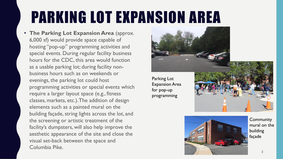### PARKING LOT EXPANSION AREA

• **The Parking Lot Expansion Area** (approx. 6,000 sf) would provide space capable of hosting "pop-up" programming activities and special events. During regular facility business hours for the CDC, this area would function as a usable parking lot; during facility nonbusiness hours such as on weekends or evenings, the parking lot could host programming activities or special events which require a larger layout space (e.g., fitness classes, markets, etc.). The addition of design elements such as a painted mural on the building façade, string lights across the lot, and the screening or artistic treatment of the facility's dumpsters, will also help improve the aesthetic appearance of the site and close the visual set-back between the space and Columbia Pike.



Parking Lot Expansion Area for pop-up programming





**Community** mural on the building façade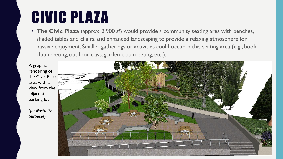### CIVIC PLAZA

• **The Civic Plaza** (approx. 2,900 sf) would provide a community seating area with benches, shaded tables and chairs, and enhanced landscaping to provide a relaxing atmosphere for passive enjoyment. Smaller gatherings or activities could occur in this seating area (e.g., book club meeting, outdoor class, garden club meeting, etc.).

A graphic rendering of the Civic Plaza area with a view from the adjacent parking lot

*(for illustrative purposes)*

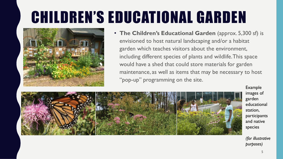## CHILDREN'S EDUCATIONAL GARDEN



• **The Children's Educational Garden** (approx. 5,300 sf) is envisioned to host natural landscaping and/or a habitat garden which teaches visitors about the environment, including different species of plants and wildlife. This space would have a shed that could store materials for garden maintenance, as well as items that may be necessary to host "pop-up" programming on the site.



Example images of garden educational station, participants and native species

*(for illustrative purposes)*